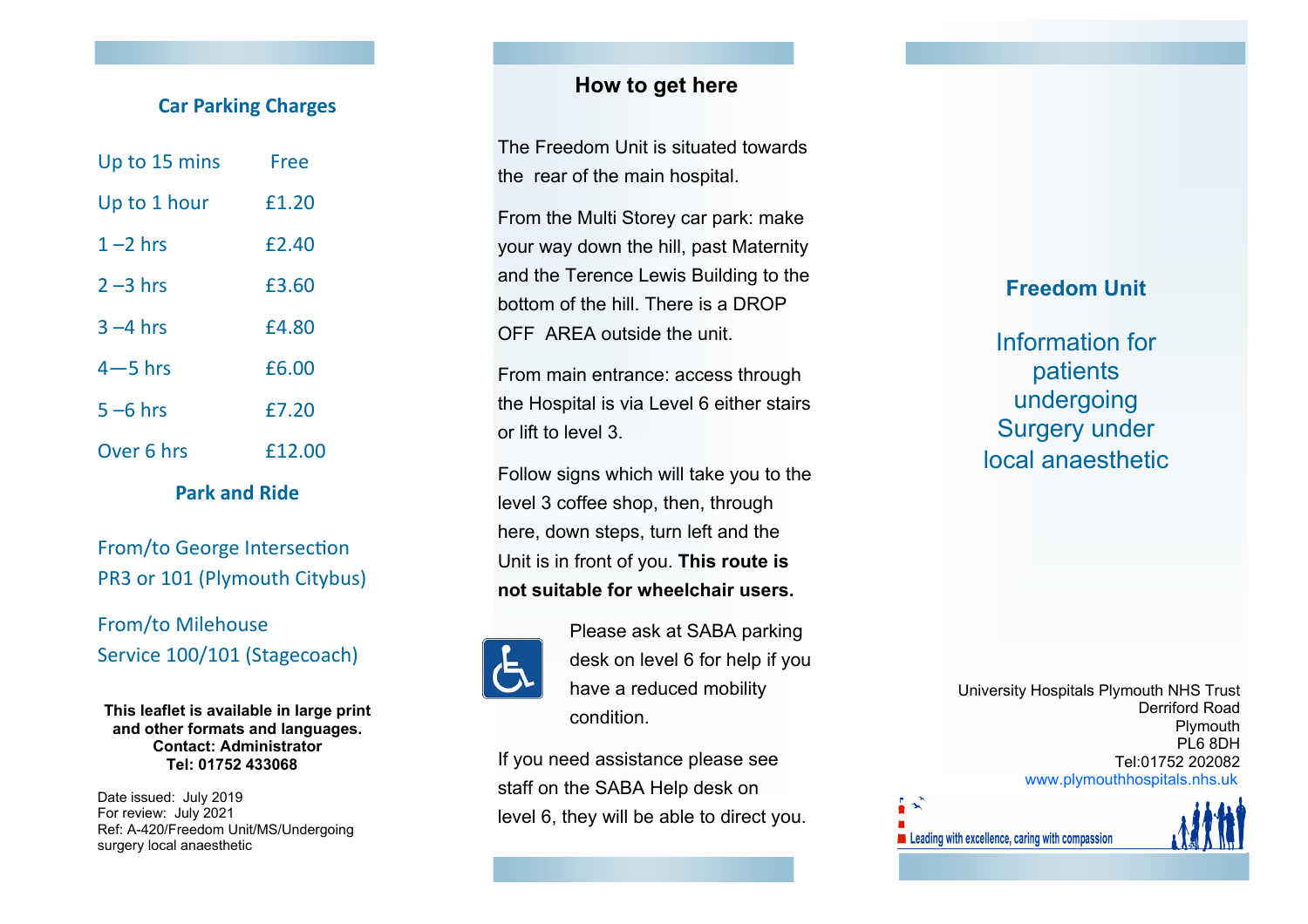### **Car Parking Charges**

| Up to 15 mins | Free   |
|---------------|--------|
| Up to 1 hour  | £1.20  |
| $1 - 2$ hrs   | £2.40  |
| $2 - 3$ hrs   | £3.60  |
| $3 - 4$ hrs   | £4.80  |
| $4 - 5$ hrs   | £6.00  |
| $5 - 6$ hrs   | £7.20  |
| Over 6 hrs    | £12.00 |

**Park and Ride**

From/to George Intersection PR3 or 101 (Plymouth Citybus)

From/to Milehouse Service 100/101 (Stagecoach)

**This leaflet is available in large print and other formats and languages. Contact: Administrator Tel: 01752 433068** 

Date issued: July 2019 For review: July 2021 Ref: A-420/Freedom Unit/MS/Undergoing surgery local anaesthetic

## **How to get here**

The Freedom Unit is situated towards the rear of the main hospital.

From the Multi Storey car park: make your way down the hill, past Maternity and the Terence Lewis Building to the bottom of the hill. There is a DROP OFF AREA outside the unit.

From main entrance: access through the Hospital is via Level 6 either stairs or lift to level 3.

Follow signs which will take you to the level 3 coffee shop, then, through here, down steps, turn left and the Unit is in front of you. **This route is not suitable for wheelchair users.** 



Please ask at SABA parking desk on level 6 for help if you have a reduced mobility condition.

If you need assistance please see staff on the SABA Help desk on level 6, they will be able to direct you.

# **Freedom Unit**

Information for patients undergoing Surgery under local anaesthetic

University Hospitals Plymouth NHS Trust Derriford Road Plymouth PL6 8DH Tel:01752 202082 www.plymouthhospitals.nhs.uk

Leading with excellence, caring with compassion